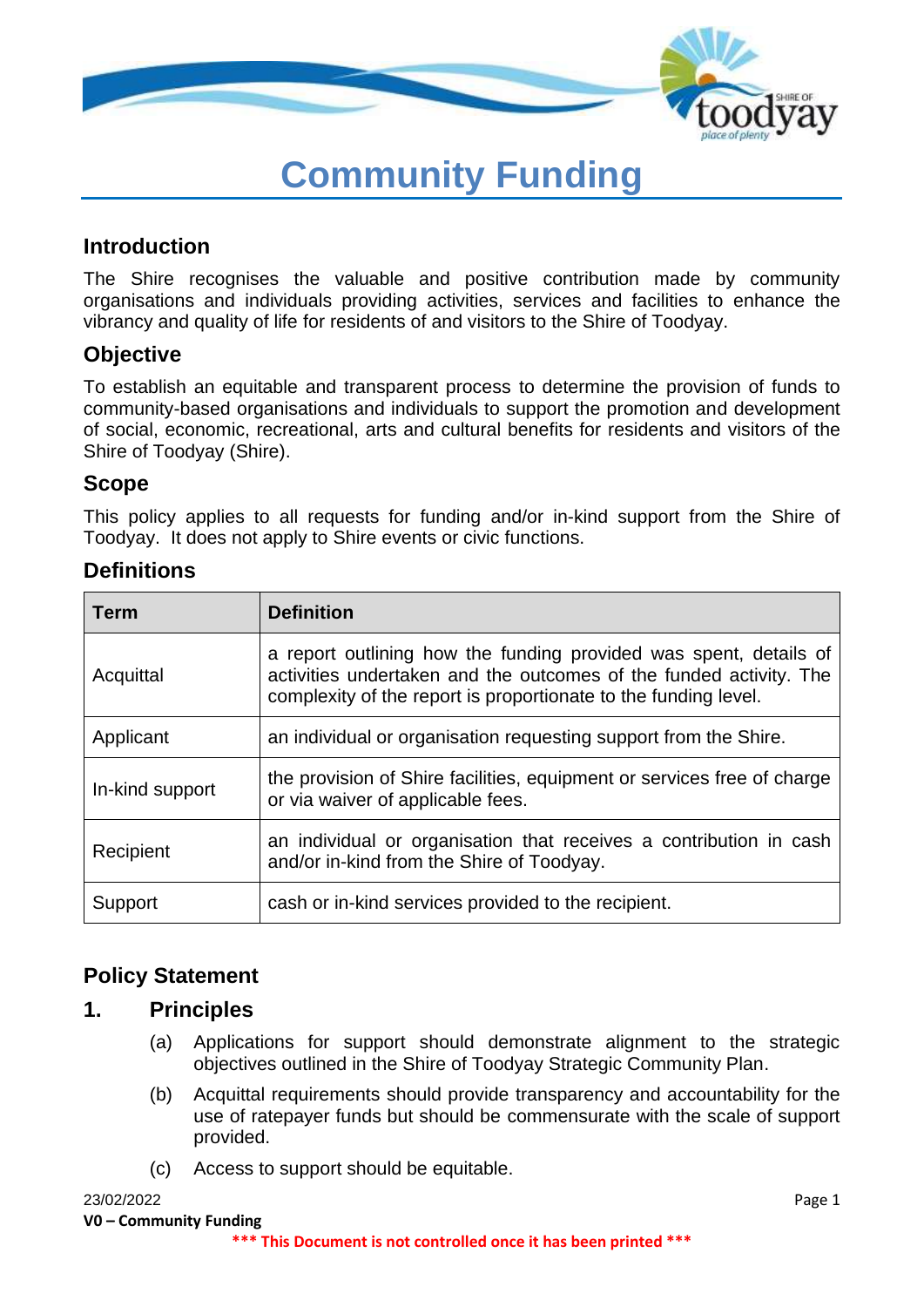

# **Community Funding**

## **Introduction**

The Shire recognises the valuable and positive contribution made by community organisations and individuals providing activities, services and facilities to enhance the vibrancy and quality of life for residents of and visitors to the Shire of Toodyay.

## **Objective**

To establish an equitable and transparent process to determine the provision of funds to community-based organisations and individuals to support the promotion and development of social, economic, recreational, arts and cultural benefits for residents and visitors of the Shire of Toodyay (Shire).

### **Scope**

This policy applies to all requests for funding and/or in-kind support from the Shire of Toodyay. It does not apply to Shire events or civic functions.

## **Definitions**

| <b>Term</b>     | <b>Definition</b>                                                                                                                                                                                          |  |
|-----------------|------------------------------------------------------------------------------------------------------------------------------------------------------------------------------------------------------------|--|
| Acquittal       | a report outlining how the funding provided was spent, details of<br>activities undertaken and the outcomes of the funded activity. The<br>complexity of the report is proportionate to the funding level. |  |
| Applicant       | an individual or organisation requesting support from the Shire.                                                                                                                                           |  |
| In-kind support | the provision of Shire facilities, equipment or services free of charge<br>or via waiver of applicable fees.                                                                                               |  |
| Recipient       | an individual or organisation that receives a contribution in cash<br>and/or in-kind from the Shire of Toodyay.                                                                                            |  |
| Support         | cash or in-kind services provided to the recipient.                                                                                                                                                        |  |

### **Policy Statement**

### **1. Principles**

- (a) Applications for support should demonstrate alignment to the strategic objectives outlined in the Shire of Toodyay Strategic Community Plan.
- (b) Acquittal requirements should provide transparency and accountability for the use of ratepayer funds but should be commensurate with the scale of support provided.
- (c) Access to support should be equitable.

#### 23/02/2022 Page 1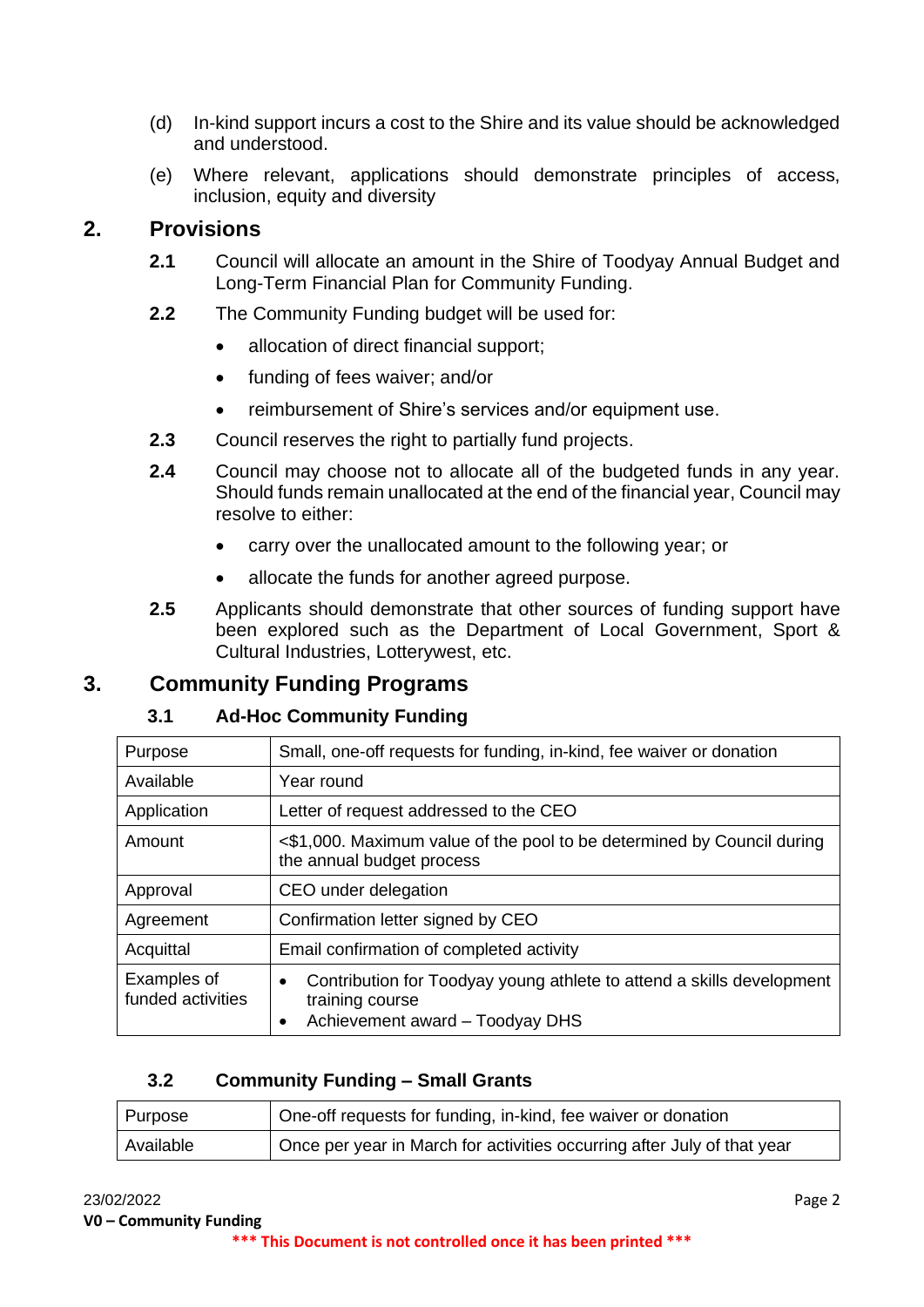- (d) In-kind support incurs a cost to the Shire and its value should be acknowledged and understood.
- (e) Where relevant, applications should demonstrate principles of access, inclusion, equity and diversity

## **2. Provisions**

- **2.1** Council will allocate an amount in the Shire of Toodyay Annual Budget and Long-Term Financial Plan for Community Funding.
- **2.2** The Community Funding budget will be used for:
	- allocation of direct financial support;
	- funding of fees waiver; and/or
	- reimbursement of Shire's services and/or equipment use.
- **2.3** Council reserves the right to partially fund projects.
- **2.4** Council may choose not to allocate all of the budgeted funds in any year. Should funds remain unallocated at the end of the financial year, Council may resolve to either:
	- carry over the unallocated amount to the following year; or
	- allocate the funds for another agreed purpose.
- **2.5** Applicants should demonstrate that other sources of funding support have been explored such as the Department of Local Government, Sport & Cultural Industries, Lotterywest, etc.

## **3. Community Funding Programs**

#### **3.1 Ad-Hoc Community Funding**

| Purpose                          | Small, one-off requests for funding, in-kind, fee waiver or donation                                                                     |  |
|----------------------------------|------------------------------------------------------------------------------------------------------------------------------------------|--|
| Available                        | Year round                                                                                                                               |  |
| Application                      | Letter of request addressed to the CEO                                                                                                   |  |
| Amount                           | <\$1,000. Maximum value of the pool to be determined by Council during<br>the annual budget process                                      |  |
| Approval                         | CEO under delegation                                                                                                                     |  |
| Agreement                        | Confirmation letter signed by CEO                                                                                                        |  |
| Acquittal                        | Email confirmation of completed activity                                                                                                 |  |
| Examples of<br>funded activities | Contribution for Toodyay young athlete to attend a skills development<br>$\bullet$<br>training course<br>Achievement award - Toodyay DHS |  |

#### **3.2 Community Funding – Small Grants**

| Purpose   | I One-off requests for funding, in-kind, fee waiver or donation         |
|-----------|-------------------------------------------------------------------------|
| Available | Once per year in March for activities occurring after July of that year |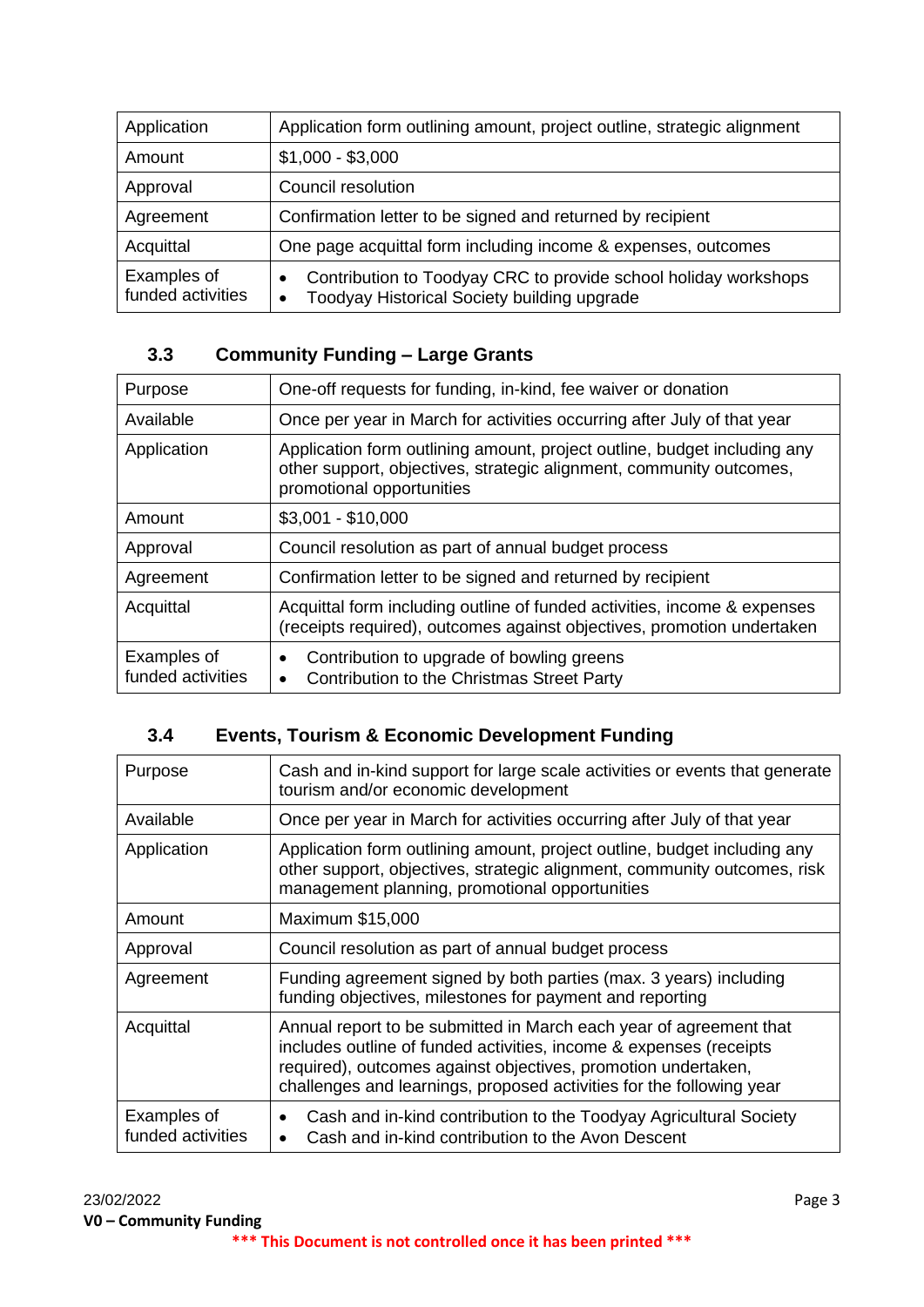| Application                      | Application form outlining amount, project outline, strategic alignment                                                                  |  |
|----------------------------------|------------------------------------------------------------------------------------------------------------------------------------------|--|
| Amount                           | $$1,000 - $3,000$                                                                                                                        |  |
| Approval                         | Council resolution                                                                                                                       |  |
| Agreement                        | Confirmation letter to be signed and returned by recipient                                                                               |  |
| Acquittal                        | One page acquittal form including income & expenses, outcomes                                                                            |  |
| Examples of<br>funded activities | Contribution to Toodyay CRC to provide school holiday workshops<br>$\bullet$<br>Toodyay Historical Society building upgrade<br>$\bullet$ |  |

## **3.3 Community Funding – Large Grants**

| Purpose                          | One-off requests for funding, in-kind, fee waiver or donation                                                                                                                |  |  |
|----------------------------------|------------------------------------------------------------------------------------------------------------------------------------------------------------------------------|--|--|
| Available                        | Once per year in March for activities occurring after July of that year                                                                                                      |  |  |
| Application                      | Application form outlining amount, project outline, budget including any<br>other support, objectives, strategic alignment, community outcomes,<br>promotional opportunities |  |  |
| Amount                           | $$3,001 - $10,000$                                                                                                                                                           |  |  |
| Approval                         | Council resolution as part of annual budget process                                                                                                                          |  |  |
| Agreement                        | Confirmation letter to be signed and returned by recipient                                                                                                                   |  |  |
| Acquittal                        | Acquittal form including outline of funded activities, income & expenses<br>(receipts required), outcomes against objectives, promotion undertaken                           |  |  |
| Examples of<br>funded activities | Contribution to upgrade of bowling greens<br>Contribution to the Christmas Street Party                                                                                      |  |  |

## **3.4 Events, Tourism & Economic Development Funding**

| Purpose                          | Cash and in-kind support for large scale activities or events that generate<br>tourism and/or economic development                                                                                                                                                                |  |
|----------------------------------|-----------------------------------------------------------------------------------------------------------------------------------------------------------------------------------------------------------------------------------------------------------------------------------|--|
| Available                        | Once per year in March for activities occurring after July of that year                                                                                                                                                                                                           |  |
| Application                      | Application form outlining amount, project outline, budget including any<br>other support, objectives, strategic alignment, community outcomes, risk<br>management planning, promotional opportunities                                                                            |  |
| Amount                           | Maximum \$15,000                                                                                                                                                                                                                                                                  |  |
| Approval                         | Council resolution as part of annual budget process                                                                                                                                                                                                                               |  |
| Agreement                        | Funding agreement signed by both parties (max. 3 years) including<br>funding objectives, milestones for payment and reporting                                                                                                                                                     |  |
| Acquittal                        | Annual report to be submitted in March each year of agreement that<br>includes outline of funded activities, income & expenses (receipts<br>required), outcomes against objectives, promotion undertaken,<br>challenges and learnings, proposed activities for the following year |  |
| Examples of<br>funded activities | Cash and in-kind contribution to the Toodyay Agricultural Society<br>Cash and in-kind contribution to the Avon Descent                                                                                                                                                            |  |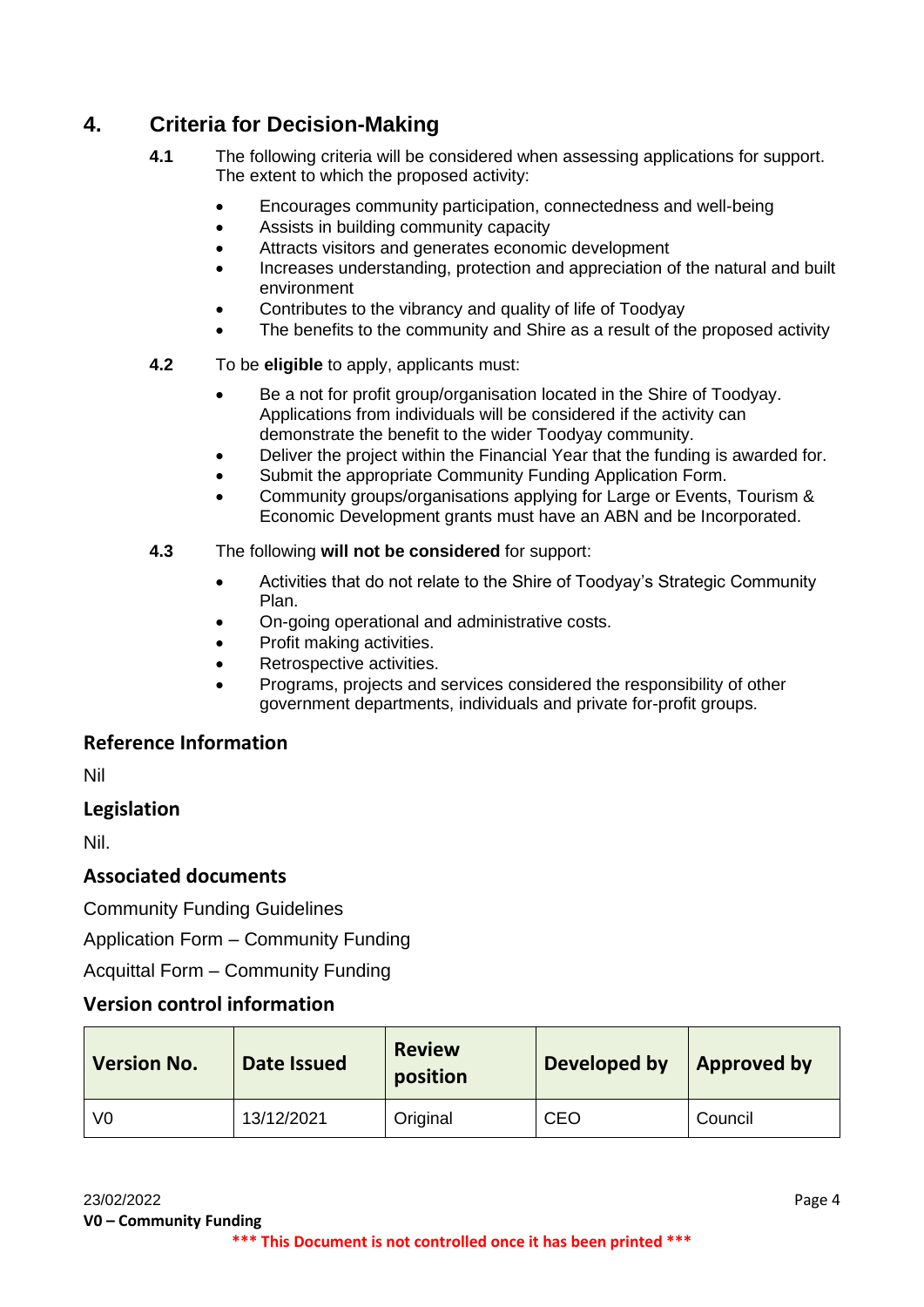# **4. Criteria for Decision-Making**

- **4.1** The following criteria will be considered when assessing applications for support. The extent to which the proposed activity:
	- Encourages community participation, connectedness and well-being
	- Assists in building community capacity
	- Attracts visitors and generates economic development
	- Increases understanding, protection and appreciation of the natural and built environment
	- Contributes to the vibrancy and quality of life of Toodyay
	- The benefits to the community and Shire as a result of the proposed activity
- **4.2** To be **eligible** to apply, applicants must:
	- Be a not for profit group/organisation located in the Shire of Toodyay. Applications from individuals will be considered if the activity can demonstrate the benefit to the wider Toodyay community.
	- Deliver the project within the Financial Year that the funding is awarded for.
	- Submit the appropriate Community Funding Application Form.
	- Community groups/organisations applying for Large or Events, Tourism & Economic Development grants must have an ABN and be Incorporated.
- **4.3** The following **will not be considered** for support:
	- Activities that do not relate to the Shire of Toodyay's Strategic Community Plan.
	- On-going operational and administrative costs.
	- Profit making activities.
	- Retrospective activities.
	- Programs, projects and services considered the responsibility of other government departments, individuals and private for-profit groups.

#### **Reference Information**

Nil

#### **Legislation**

Nil.

#### **Associated documents**

Community Funding Guidelines

Application Form – Community Funding

Acquittal Form – Community Funding

#### **Version control information**

| <b>Version No.</b> | Date Issued | <b>Review</b><br>position | Developed by | Approved by |
|--------------------|-------------|---------------------------|--------------|-------------|
| V0                 | 13/12/2021  | Original                  | <b>CEO</b>   | Council     |